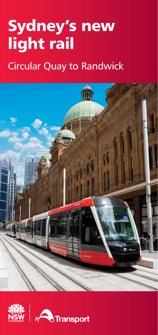# **Sydney's new light rail**

# Circular Quay to Randwick



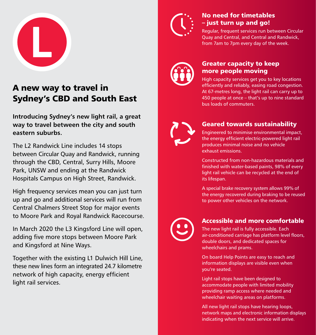

# **A new way to travel in Sydney's CBD and South East**

Introducing Sydney's new light rail, a great way to travel between the city and south eastern suburbs.

The L2 Randwick Line includes 14 stops between Circular Quay and Randwick, running through the CBD, Central, Surry Hills, Moore Park, UNSW and ending at the Randwick Hospitals Campus on High Street, Randwick.

High frequency services mean you can just turn up and go and additional services will run from Central Chalmers Street Stop for major events to Moore Park and Royal Randwick Racecourse.

In March 2020 the L3 Kingsford Line will open, adding five more stops between Moore Park and Kingsford at Nine Ways.

Together with the existing L1 Dulwich Hill Line, these new lines form an integrated 24.7 kilometre network of high capacity, energy efficient light rail services.



## **No need for timetables – just turn up and go!**

Regular, frequent services run between Circular Quay and Central, and Central and Randwick, from 7am to 7pm every day of the week.



### **Greater capacity to keep more people moving**

High capacity services get you to key locations efficiently and reliably, easing road congestion. At 67-metres long, the light rail can carry up to 450 people at once – that's up to nine standard bus loads of commuters.



## **Geared towards sustainability**

Engineered to minimise environmental impact, the energy efficient electric-powered light rail produces minimal noise and no vehicle exhaust emissions.

Constructed from non-hazardous materials and finished with water-based paints, 98% of every light rail vehicle can be recycled at the end of its lifespan.

A special brake recovery system allows 99% of the energy recovered during braking to be reused to power other vehicles on the network.

### **Accessible and more comfortable**

The new light rail is fully accessible. Each air-conditioned carriage has platform level floors, double doors, and dedicated spaces for wheelchairs and prams.

On board Help Points are easy to reach and information displays are visible even when you're seated.

Light rail stops have been designed to accommodate people with limited mobility providing ramp access where needed and wheelchair waiting areas on platforms.

All new light rail stops have hearing loops, network maps and electronic information displays indicating when the next service will arrive.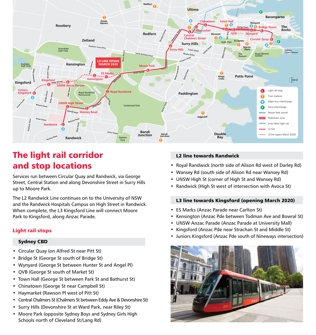

## **The light rail corridor and stop locations**

Services run between Circular Quay and Randwick, via George Street, Central Station and along Devonshire Street in Surry Hills up to Moore Park.

The L2 Randwick Line continues on to the University of NSW and the Randwick Hospitals Campus on High Street in Randwick. When complete, the L3 Kingsford Line will connect Moore Park to Kingsford, along Anzac Parade.

### **Light rail stops**

#### **Sydney CBD**

- Circular Quay (on Alfred St near Pitt St)
- Bridge St (George St south of Bridge St)
- Wynyard (George St between Hunter St and Angel Pl)
- QVB (George St south of Market St)
- Town Hall (George St between Park St and Bathurst St)
- Chinatown (George St near Campbell St)
- Haymarket (Rawson Pl west of Pitt St)
- Central Chalmers St (Chalmers St between Eddy Ave & Devonshire St)
- Surry Hills (Devonshire St at Ward Park, near Riley St)
- Moore Park (opposite Sydney Boys and Sydney Girls High Schools north of Cleveland St/Lang Rd)

### **L2 line towards Randwick**

- Royal Randwick (north side of Alison Rd west of Darley Rd)
- Wansey Rd (south side of Alison Rd near Wansey Rd)
- UNSW High St (corner of High St and Wansey Rd)
- Randwick (High St west of intersection with Avoca St)

### **L3 line towards Kingsford (opening March 2020)**

- ES Marks (Anzac Parade near Carlton St)
- Kensington (Anzac Pde between Todman Ave and Bowral St)
- UNSW Anzac Parade (Anzac Parade at University Mall)
- Kingsford (Anzac Pde near Strachan St and Middle St)
- Juniors Kingsford (Anzac Pde south of Nineways intersection)

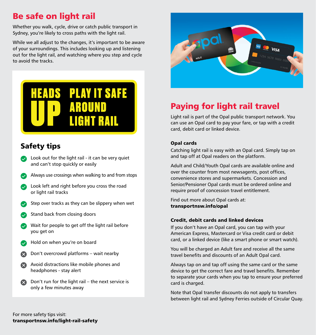## **Be safe on light rail**

Whether you walk, cycle, drive or catch public transport in Sydney, you're likely to cross paths with the light rail.

While we all adjust to the changes, it's important to be aware of your surroundings. This includes looking up and listening out for the light rail, and watching where you step and cycle to avoid the tracks.

# **PLAY IT SAFE HEADS** IGHT RAIL

## **Safety tips**

- $\bullet$  Look out for the light rail it can be very quiet and can't stop quickly or easily
- Always use crossings when walking to and from stops
- Look left and right before you cross the road  $\bullet$ or light rail tracks
- Step over tracks as they can be slippery when wet
- Stand back from closing doors
- Wait for people to get off the light rail before you get on
- Hold on when you're on board
- Don't overcrowd platforms wait nearby
- Avoid distractions like mobile phones and headphones - stay alert
- Don't run for the light rail the next service is only a few minutes away



# **Paying for light rail travel**

Light rail is part of the Opal public transport network. You can use an Opal card to pay your fare, or tap with a credit card, debit card or linked device.

### **Opal cards**

Catching light rail is easy with an Opal card. Simply tap on and tap off at Opal readers on the platform.

Adult and Child/Youth Opal cards are available online and over the counter from most newsagents, post offices, convenience stores and supermarkets. Concession and Senior/Pensioner Opal cards must be ordered online and require proof of concession travel entitlement.

[Find out more about Opal cards at:](www.transportnsw.info/opal)  **transportnsw.info/opal**

### **Credit, debit cards and linked devices**

If you don't have an Opal card, you can tap with your American Express, Mastercard or Visa credit card or debit card, or a linked device (like a smart phone or smart watch).

You will be charged an Adult fare and receive all the same travel benefits and discounts of an Adult Opal card.

Always tap on and tap off using the same card or the same device to get the correct fare and travel benefits. Remember to separate your cards when you tap to ensure your preferred card is charged.

Note that Opal transfer discounts do not apply to transfers between light rail and Sydney Ferries outside of Circular Quay.

For more safety tips visit: **[transportnsw.info/light-rail-safety](www.transportnsw.info/light-rail-safety)**